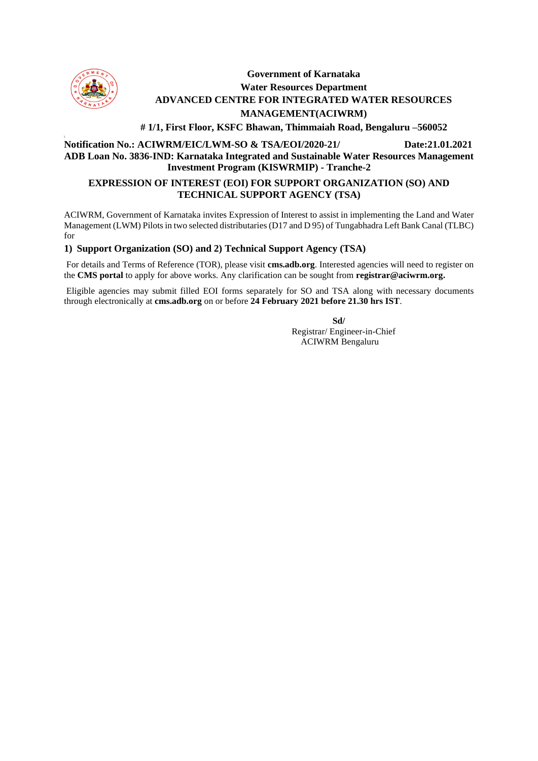

**\**

# **Government of Karnataka Water Resources Department ADVANCED CENTRE FOR INTEGRATED WATER RESOURCES MANAGEMENT(ACIWRM)**

 **# 1/1, First Floor, KSFC Bhawan, Thimmaiah Road, Bengaluru –560052**

#### **Notification No.: ACIWRM/EIC/LWM-SO & TSA/EOI/2020-21/ Date:21.01.2021 ADB Loan No. 3836-IND: Karnataka Integrated and Sustainable Water Resources Management Investment Program (KISWRMIP) - Tranche-2**

## **EXPRESSION OF INTEREST (EOI) FOR SUPPORT ORGANIZATION (SO) AND TECHNICAL SUPPORT AGENCY (TSA)**

ACIWRM, Government of Karnataka invites Expression of Interest to assist in implementing the Land and Water Management (LWM) Pilots in two selected distributaries (D17 and D 95) of Tungabhadra Left Bank Canal (TLBC) for

### **1) Support Organization (SO) and 2) Technical Support Agency (TSA)**

For details and Terms of Reference (TOR), please visit **cms.adb.org**. Interested agencies will need to register on the **CMS portal** to apply for above works. Any clarification can be sought from **[registrar@aciwrm.org.](mailto:registrar@aciwrm.org)**

Eligible agencies may submit filled EOI forms separately for SO and TSA along with necessary documents through electronically at **cms.adb.org** on or before **24 February 2021 before 21.30 hrs IST**.

 **Sd/** 

Registrar/ Engineer-in-Chief ACIWRM Bengaluru